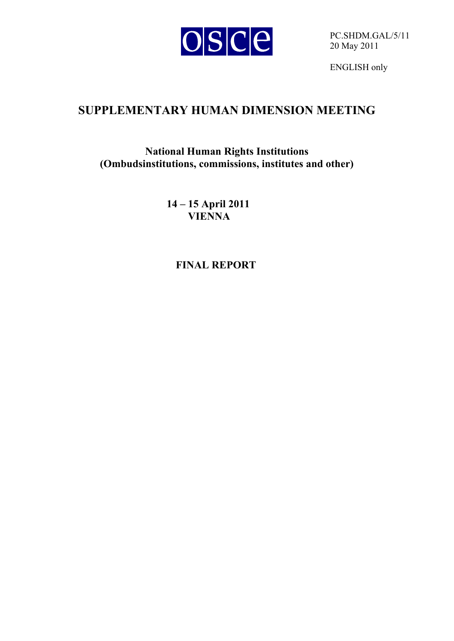

PC.SHDM.GAL/5/11 20 May 2011

ENGLISH only

# **SUPPLEMENTARY HUMAN DIMENSION MEETING**

**National Human Rights Institutions (Ombudsinstitutions, commissions, institutes and other)** 

> **14 – 15 April 2011 VIENNA**

> > **FINAL REPORT**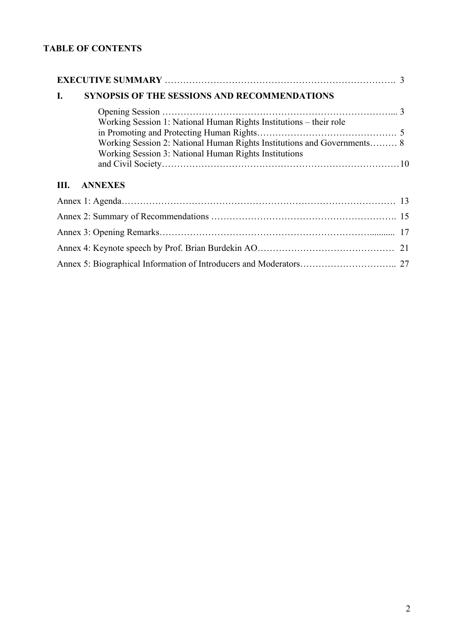# **TABLE OF CONTENTS**

| SYNOPSIS OF THE SESSIONS AND RECOMMENDATIONS<br>I.                      |    |
|-------------------------------------------------------------------------|----|
|                                                                         |    |
| Working Session 1: National Human Rights Institutions – their role      |    |
| Working Session 2: National Human Rights Institutions and Governments 8 |    |
| Working Session 3: National Human Rights Institutions                   |    |
|                                                                         |    |
| <b>ANNEXES</b><br>III.                                                  |    |
|                                                                         |    |
|                                                                         |    |
|                                                                         |    |
|                                                                         | 21 |
|                                                                         |    |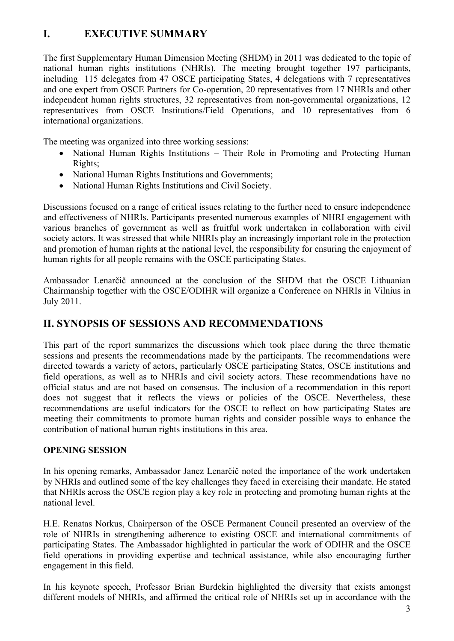# **I. EXECUTIVE SUMMARY**

The first Supplementary Human Dimension Meeting (SHDM) in 2011 was dedicated to the topic of national human rights institutions (NHRIs). The meeting brought together 197 participants, including 115 delegates from 47 OSCE participating States, 4 delegations with 7 representatives and one expert from OSCE Partners for Co-operation, 20 representatives from 17 NHRIs and other independent human rights structures, 32 representatives from non-governmental organizations, 12 representatives from OSCE Institutions/Field Operations, and 10 representatives from 6 international organizations.

The meeting was organized into three working sessions:

- National Human Rights Institutions Their Role in Promoting and Protecting Human Rights;
- National Human Rights Institutions and Governments;
- National Human Rights Institutions and Civil Society.

Discussions focused on a range of critical issues relating to the further need to ensure independence and effectiveness of NHRIs. Participants presented numerous examples of NHRI engagement with various branches of government as well as fruitful work undertaken in collaboration with civil society actors. It was stressed that while NHRIs play an increasingly important role in the protection and promotion of human rights at the national level, the responsibility for ensuring the enjoyment of human rights for all people remains with the OSCE participating States.

Ambassador Lenarčič announced at the conclusion of the SHDM that the OSCE Lithuanian Chairmanship together with the OSCE/ODIHR will organize a Conference on NHRIs in Vilnius in July 2011.

# **II. SYNOPSIS OF SESSIONS AND RECOMMENDATIONS**

This part of the report summarizes the discussions which took place during the three thematic sessions and presents the recommendations made by the participants. The recommendations were directed towards a variety of actors, particularly OSCE participating States, OSCE institutions and field operations, as well as to NHRIs and civil society actors. These recommendations have no official status and are not based on consensus. The inclusion of a recommendation in this report does not suggest that it reflects the views or policies of the OSCE. Nevertheless, these recommendations are useful indicators for the OSCE to reflect on how participating States are meeting their commitments to promote human rights and consider possible ways to enhance the contribution of national human rights institutions in this area.

### **OPENING SESSION**

In his opening remarks, Ambassador Janez Lenarčič noted the importance of the work undertaken by NHRIs and outlined some of the key challenges they faced in exercising their mandate. He stated that NHRIs across the OSCE region play a key role in protecting and promoting human rights at the national level.

H.E. Renatas Norkus, Chairperson of the OSCE Permanent Council presented an overview of the role of NHRIs in strengthening adherence to existing OSCE and international commitments of participating States. The Ambassador highlighted in particular the work of ODIHR and the OSCE field operations in providing expertise and technical assistance, while also encouraging further engagement in this field.

In his keynote speech, Professor Brian Burdekin highlighted the diversity that exists amongst different models of NHRIs, and affirmed the critical role of NHRIs set up in accordance with the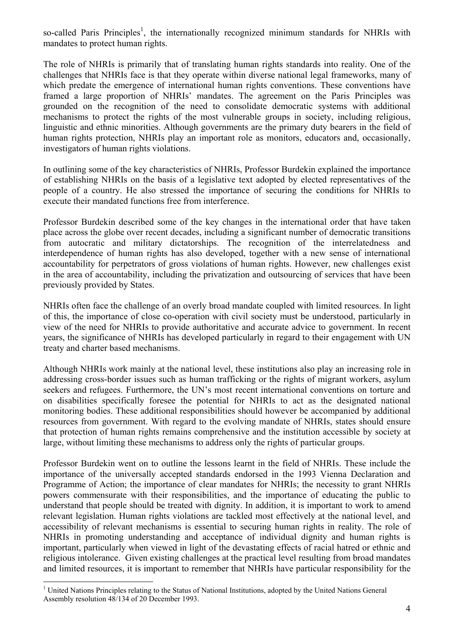so-called Paris Principles<sup>1</sup>, the internationally recognized minimum standards for NHRIs with mandates to protect human rights.

The role of NHRIs is primarily that of translating human rights standards into reality. One of the challenges that NHRIs face is that they operate within diverse national legal frameworks, many of which predate the emergence of international human rights conventions. These conventions have framed a large proportion of NHRIs' mandates. The agreement on the Paris Principles was grounded on the recognition of the need to consolidate democratic systems with additional mechanisms to protect the rights of the most vulnerable groups in society, including religious, linguistic and ethnic minorities. Although governments are the primary duty bearers in the field of human rights protection, NHRIs play an important role as monitors, educators and, occasionally, investigators of human rights violations.

In outlining some of the key characteristics of NHRIs, Professor Burdekin explained the importance of establishing NHRIs on the basis of a legislative text adopted by elected representatives of the people of a country. He also stressed the importance of securing the conditions for NHRIs to execute their mandated functions free from interference.

Professor Burdekin described some of the key changes in the international order that have taken place across the globe over recent decades, including a significant number of democratic transitions from autocratic and military dictatorships. The recognition of the interrelatedness and interdependence of human rights has also developed, together with a new sense of international accountability for perpetrators of gross violations of human rights. However, new challenges exist in the area of accountability, including the privatization and outsourcing of services that have been previously provided by States.

NHRIs often face the challenge of an overly broad mandate coupled with limited resources. In light of this, the importance of close co-operation with civil society must be understood, particularly in view of the need for NHRIs to provide authoritative and accurate advice to government. In recent years, the significance of NHRIs has developed particularly in regard to their engagement with UN treaty and charter based mechanisms.

Although NHRIs work mainly at the national level, these institutions also play an increasing role in addressing cross-border issues such as human trafficking or the rights of migrant workers, asylum seekers and refugees. Furthermore, the UN's most recent international conventions on torture and on disabilities specifically foresee the potential for NHRIs to act as the designated national monitoring bodies. These additional responsibilities should however be accompanied by additional resources from government. With regard to the evolving mandate of NHRIs, states should ensure that protection of human rights remains comprehensive and the institution accessible by society at large, without limiting these mechanisms to address only the rights of particular groups.

Professor Burdekin went on to outline the lessons learnt in the field of NHRIs. These include the importance of the universally accepted standards endorsed in the 1993 Vienna Declaration and Programme of Action; the importance of clear mandates for NHRIs; the necessity to grant NHRIs powers commensurate with their responsibilities, and the importance of educating the public to understand that people should be treated with dignity. In addition, it is important to work to amend relevant legislation. Human rights violations are tackled most effectively at the national level, and accessibility of relevant mechanisms is essential to securing human rights in reality. The role of NHRIs in promoting understanding and acceptance of individual dignity and human rights is important, particularly when viewed in light of the devastating effects of racial hatred or ethnic and religious intolerance. Given existing challenges at the practical level resulting from broad mandates and limited resources, it is important to remember that NHRIs have particular responsibility for the

 $\overline{a}$ 

<sup>&</sup>lt;sup>1</sup> United Nations Principles relating to the Status of National Institutions, adopted by the United Nations General Assembly resolution 48/134 of 20 December 1993.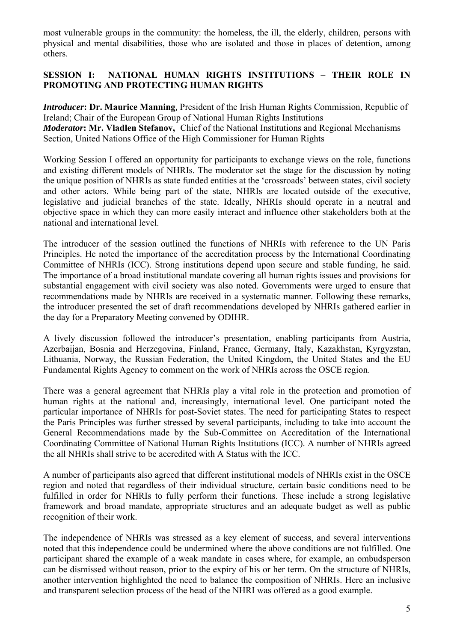most vulnerable groups in the community: the homeless, the ill, the elderly, children, persons with physical and mental disabilities, those who are isolated and those in places of detention, among others.

## **SESSION I: NATIONAL HUMAN RIGHTS INSTITUTIONS – THEIR ROLE IN PROMOTING AND PROTECTING HUMAN RIGHTS**

*Introducer***: Dr. Maurice Manning***,* President of the Irish Human Rights Commission, Republic of Ireland; Chair of the European Group of National Human Rights Institutions *Moderator***: Mr. Vladlen Stefanov,** Chief of the National Institutions and Regional Mechanisms Section, United Nations Office of the High Commissioner for Human Rights

Working Session I offered an opportunity for participants to exchange views on the role, functions and existing different models of NHRIs. The moderator set the stage for the discussion by noting the unique position of NHRIs as state funded entities at the 'crossroads' between states, civil society and other actors. While being part of the state, NHRIs are located outside of the executive, legislative and judicial branches of the state. Ideally, NHRIs should operate in a neutral and objective space in which they can more easily interact and influence other stakeholders both at the national and international level.

The introducer of the session outlined the functions of NHRIs with reference to the UN Paris Principles. He noted the importance of the accreditation process by the International Coordinating Committee of NHRIs (ICC). Strong institutions depend upon secure and stable funding, he said. The importance of a broad institutional mandate covering all human rights issues and provisions for substantial engagement with civil society was also noted. Governments were urged to ensure that recommendations made by NHRIs are received in a systematic manner. Following these remarks, the introducer presented the set of draft recommendations developed by NHRIs gathered earlier in the day for a Preparatory Meeting convened by ODIHR.

A lively discussion followed the introducer's presentation, enabling participants from Austria, Azerbaijan, Bosnia and Herzegovina, Finland, France, Germany, Italy, Kazakhstan, Kyrgyzstan, Lithuania, Norway, the Russian Federation, the United Kingdom, the United States and the EU Fundamental Rights Agency to comment on the work of NHRIs across the OSCE region.

There was a general agreement that NHRIs play a vital role in the protection and promotion of human rights at the national and, increasingly, international level. One participant noted the particular importance of NHRIs for post-Soviet states. The need for participating States to respect the Paris Principles was further stressed by several participants, including to take into account the General Recommendations made by the Sub-Committee on Accreditation of the International Coordinating Committee of National Human Rights Institutions (ICC). A number of NHRIs agreed the all NHRIs shall strive to be accredited with A Status with the ICC.

A number of participants also agreed that different institutional models of NHRIs exist in the OSCE region and noted that regardless of their individual structure, certain basic conditions need to be fulfilled in order for NHRIs to fully perform their functions. These include a strong legislative framework and broad mandate, appropriate structures and an adequate budget as well as public recognition of their work.

The independence of NHRIs was stressed as a key element of success, and several interventions noted that this independence could be undermined where the above conditions are not fulfilled. One participant shared the example of a weak mandate in cases where, for example, an ombudsperson can be dismissed without reason, prior to the expiry of his or her term. On the structure of NHRIs, another intervention highlighted the need to balance the composition of NHRIs. Here an inclusive and transparent selection process of the head of the NHRI was offered as a good example.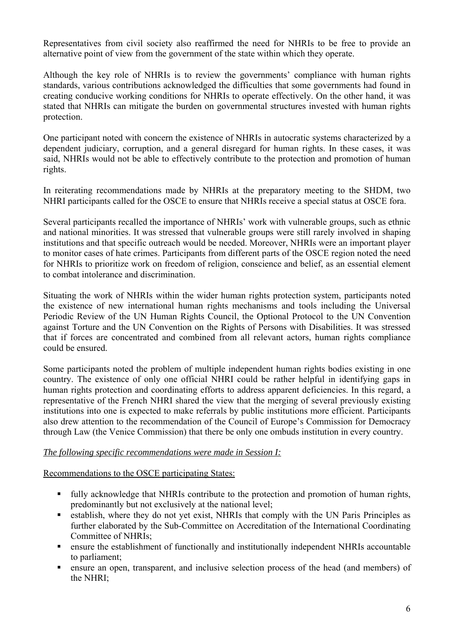Representatives from civil society also reaffirmed the need for NHRIs to be free to provide an alternative point of view from the government of the state within which they operate.

Although the key role of NHRIs is to review the governments' compliance with human rights standards, various contributions acknowledged the difficulties that some governments had found in creating conducive working conditions for NHRIs to operate effectively. On the other hand, it was stated that NHRIs can mitigate the burden on governmental structures invested with human rights protection.

One participant noted with concern the existence of NHRIs in autocratic systems characterized by a dependent judiciary, corruption, and a general disregard for human rights. In these cases, it was said, NHRIs would not be able to effectively contribute to the protection and promotion of human rights.

In reiterating recommendations made by NHRIs at the preparatory meeting to the SHDM, two NHRI participants called for the OSCE to ensure that NHRIs receive a special status at OSCE fora.

Several participants recalled the importance of NHRIs' work with vulnerable groups, such as ethnic and national minorities. It was stressed that vulnerable groups were still rarely involved in shaping institutions and that specific outreach would be needed. Moreover, NHRIs were an important player to monitor cases of hate crimes. Participants from different parts of the OSCE region noted the need for NHRIs to prioritize work on freedom of religion, conscience and belief, as an essential element to combat intolerance and discrimination.

Situating the work of NHRIs within the wider human rights protection system, participants noted the existence of new international human rights mechanisms and tools including the Universal Periodic Review of the UN Human Rights Council, the Optional Protocol to the UN Convention against Torture and the UN Convention on the Rights of Persons with Disabilities. It was stressed that if forces are concentrated and combined from all relevant actors, human rights compliance could be ensured.

Some participants noted the problem of multiple independent human rights bodies existing in one country. The existence of only one official NHRI could be rather helpful in identifying gaps in human rights protection and coordinating efforts to address apparent deficiencies. In this regard, a representative of the French NHRI shared the view that the merging of several previously existing institutions into one is expected to make referrals by public institutions more efficient. Participants also drew attention to the recommendation of the Council of Europe's Commission for Democracy through Law (the Venice Commission) that there be only one ombuds institution in every country.

### *The following specific recommendations were made in Session I:*

### Recommendations to the OSCE participating States:

- fully acknowledge that NHRIs contribute to the protection and promotion of human rights, predominantly but not exclusively at the national level;
- establish, where they do not yet exist, NHRIs that comply with the UN Paris Principles as further elaborated by the Sub-Committee on Accreditation of the International Coordinating Committee of NHRIs;
- ensure the establishment of functionally and institutionally independent NHRIs accountable to parliament;
- ensure an open, transparent, and inclusive selection process of the head (and members) of the NHRI;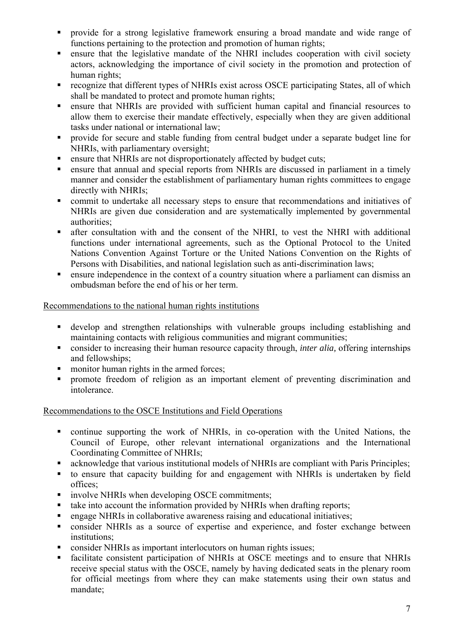- provide for a strong legislative framework ensuring a broad mandate and wide range of functions pertaining to the protection and promotion of human rights;
- ensure that the legislative mandate of the NHRI includes cooperation with civil society actors, acknowledging the importance of civil society in the promotion and protection of human rights;
- recognize that different types of NHRIs exist across OSCE participating States, all of which shall be mandated to protect and promote human rights;
- ensure that NHRIs are provided with sufficient human capital and financial resources to allow them to exercise their mandate effectively, especially when they are given additional tasks under national or international law;
- provide for secure and stable funding from central budget under a separate budget line for NHRIs, with parliamentary oversight;
- **Example 1** ensure that NHRIs are not disproportionately affected by budget cuts;
- ensure that annual and special reports from NHRIs are discussed in parliament in a timely manner and consider the establishment of parliamentary human rights committees to engage directly with NHRIs;
- commit to undertake all necessary steps to ensure that recommendations and initiatives of NHRIs are given due consideration and are systematically implemented by governmental authorities;
- after consultation with and the consent of the NHRI, to vest the NHRI with additional functions under international agreements, such as the Optional Protocol to the United Nations Convention Against Torture or the United Nations Convention on the Rights of Persons with Disabilities, and national legislation such as anti-discrimination laws;
- ensure independence in the context of a country situation where a parliament can dismiss an ombudsman before the end of his or her term.

### Recommendations to the national human rights institutions

- develop and strengthen relationships with vulnerable groups including establishing and maintaining contacts with religious communities and migrant communities;
- consider to increasing their human resource capacity through, *inter alia,* offering internships and fellowships;
- monitor human rights in the armed forces;
- **Performance** freedom of religion as an important element of preventing discrimination and intolerance.

### Recommendations to the OSCE Institutions and Field Operations

- continue supporting the work of NHRIs, in co-operation with the United Nations, the Council of Europe, other relevant international organizations and the International Coordinating Committee of NHRIs;
- acknowledge that various institutional models of NHRIs are compliant with Paris Principles;
- to ensure that capacity building for and engagement with NHRIs is undertaken by field offices;
- involve NHRIs when developing OSCE commitments;
- take into account the information provided by NHRIs when drafting reports;
- engage NHRIs in collaborative awareness raising and educational initiatives;
- consider NHRIs as a source of expertise and experience, and foster exchange between institutions;
- consider NHRIs as important interlocutors on human rights issues;
- facilitate consistent participation of NHRIs at OSCE meetings and to ensure that NHRIs receive special status with the OSCE, namely by having dedicated seats in the plenary room for official meetings from where they can make statements using their own status and mandate;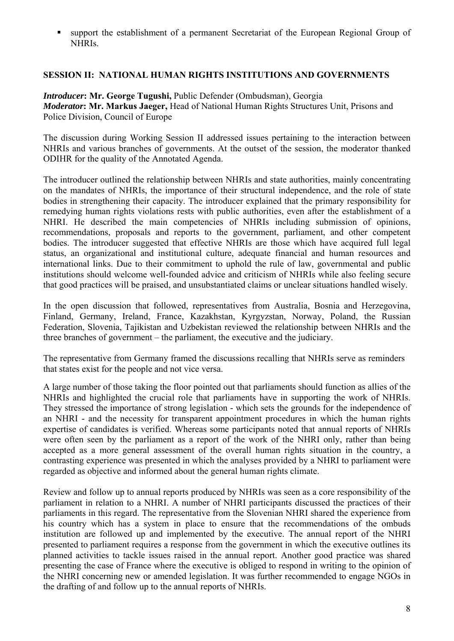support the establishment of a permanent Secretariat of the European Regional Group of NHRIs.

## **SESSION II: NATIONAL HUMAN RIGHTS INSTITUTIONS AND GOVERNMENTS**

*Introducer***: Mr. George Tugushi,** Public Defender (Ombudsman), Georgia *Moderator***: Mr. Markus Jaeger,** Head of National Human Rights Structures Unit, Prisons and Police Division, Council of Europe

The discussion during Working Session II addressed issues pertaining to the interaction between NHRIs and various branches of governments. At the outset of the session, the moderator thanked ODIHR for the quality of the Annotated Agenda.

The introducer outlined the relationship between NHRIs and state authorities, mainly concentrating on the mandates of NHRIs, the importance of their structural independence, and the role of state bodies in strengthening their capacity. The introducer explained that the primary responsibility for remedying human rights violations rests with public authorities, even after the establishment of a NHRI. He described the main competencies of NHRIs including submission of opinions, recommendations, proposals and reports to the government, parliament, and other competent bodies. The introducer suggested that effective NHRIs are those which have acquired full legal status, an organizational and institutional culture, adequate financial and human resources and international links. Due to their commitment to uphold the rule of law, governmental and public institutions should welcome well-founded advice and criticism of NHRIs while also feeling secure that good practices will be praised, and unsubstantiated claims or unclear situations handled wisely.

In the open discussion that followed, representatives from Australia, Bosnia and Herzegovina, Finland, Germany, Ireland, France, Kazakhstan, Kyrgyzstan, Norway, Poland, the Russian Federation, Slovenia, Tajikistan and Uzbekistan reviewed the relationship between NHRIs and the three branches of government – the parliament, the executive and the judiciary.

The representative from Germany framed the discussions recalling that NHRIs serve as reminders that states exist for the people and not vice versa.

A large number of those taking the floor pointed out that parliaments should function as allies of the NHRIs and highlighted the crucial role that parliaments have in supporting the work of NHRIs. They stressed the importance of strong legislation - which sets the grounds for the independence of an NHRI - and the necessity for transparent appointment procedures in which the human rights expertise of candidates is verified. Whereas some participants noted that annual reports of NHRIs were often seen by the parliament as a report of the work of the NHRI only, rather than being accepted as a more general assessment of the overall human rights situation in the country, a contrasting experience was presented in which the analyses provided by a NHRI to parliament were regarded as objective and informed about the general human rights climate.

Review and follow up to annual reports produced by NHRIs was seen as a core responsibility of the parliament in relation to a NHRI. A number of NHRI participants discussed the practices of their parliaments in this regard. The representative from the Slovenian NHRI shared the experience from his country which has a system in place to ensure that the recommendations of the ombuds institution are followed up and implemented by the executive. The annual report of the NHRI presented to parliament requires a response from the government in which the executive outlines its planned activities to tackle issues raised in the annual report. Another good practice was shared presenting the case of France where the executive is obliged to respond in writing to the opinion of the NHRI concerning new or amended legislation. It was further recommended to engage NGOs in the drafting of and follow up to the annual reports of NHRIs.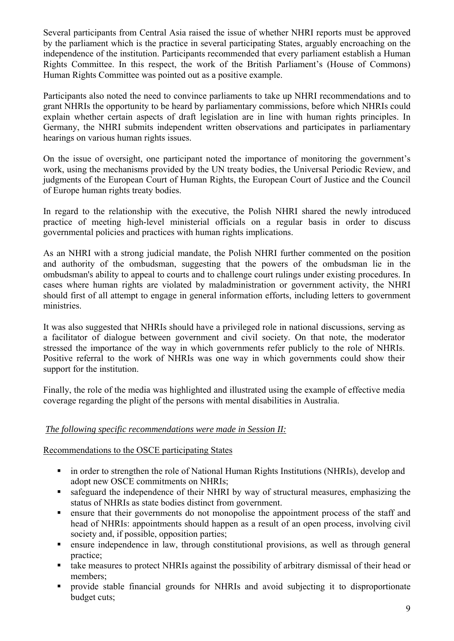Several participants from Central Asia raised the issue of whether NHRI reports must be approved by the parliament which is the practice in several participating States, arguably encroaching on the independence of the institution. Participants recommended that every parliament establish a Human Rights Committee. In this respect, the work of the British Parliament's (House of Commons) Human Rights Committee was pointed out as a positive example.

Participants also noted the need to convince parliaments to take up NHRI recommendations and to grant NHRIs the opportunity to be heard by parliamentary commissions, before which NHRIs could explain whether certain aspects of draft legislation are in line with human rights principles. In Germany, the NHRI submits independent written observations and participates in parliamentary hearings on various human rights issues.

On the issue of oversight, one participant noted the importance of monitoring the government's work, using the mechanisms provided by the UN treaty bodies, the Universal Periodic Review, and judgments of the European Court of Human Rights, the European Court of Justice and the Council of Europe human rights treaty bodies.

In regard to the relationship with the executive, the Polish NHRI shared the newly introduced practice of meeting high-level ministerial officials on a regular basis in order to discuss governmental policies and practices with human rights implications.

As an NHRI with a strong judicial mandate, the Polish NHRI further commented on the position and authority of the ombudsman, suggesting that the powers of the ombudsman lie in the ombudsman's ability to appeal to courts and to challenge court rulings under existing procedures. In cases where human rights are violated by maladministration or government activity, the NHRI should first of all attempt to engage in general information efforts, including letters to government ministries.

It was also suggested that NHRIs should have a privileged role in national discussions, serving as a facilitator of dialogue between government and civil society. On that note, the moderator stressed the importance of the way in which governments refer publicly to the role of NHRIs. Positive referral to the work of NHRIs was one way in which governments could show their support for the institution.

Finally, the role of the media was highlighted and illustrated using the example of effective media coverage regarding the plight of the persons with mental disabilities in Australia.

### *The following specific recommendations were made in Session II:*

### Recommendations to the OSCE participating States

- in order to strengthen the role of National Human Rights Institutions (NHRIs), develop and adopt new OSCE commitments on NHRIs;
- safeguard the independence of their NHRI by way of structural measures, emphasizing the status of NHRIs as state bodies distinct from government.
- ensure that their governments do not monopolise the appointment process of the staff and head of NHRIs: appointments should happen as a result of an open process, involving civil society and, if possible, opposition parties;
- ensure independence in law, through constitutional provisions, as well as through general practice;
- take measures to protect NHRIs against the possibility of arbitrary dismissal of their head or members;
- provide stable financial grounds for NHRIs and avoid subjecting it to disproportionate budget cuts;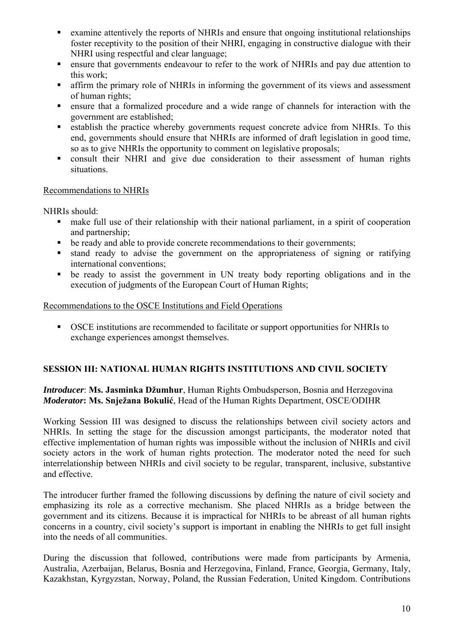- examine attentively the reports of NHRIs and ensure that ongoing institutional relationships foster receptivity to the position of their NHRI, engaging in constructive dialogue with their NHRI using respectful and clear language;
- ensure that governments endeavour to refer to the work of NHRIs and pay due attention to this work;
- affirm the primary role of NHRIs in informing the government of its views and assessment of human rights;
- ensure that a formalized procedure and a wide range of channels for interaction with the government are established;
- **Example 1** establish the practice whereby governments request concrete advice from NHRIs. To this end, governments should ensure that NHRIs are informed of draft legislation in good time, so as to give NHRIs the opportunity to comment on legislative proposals;
- consult their NHRI and give due consideration to their assessment of human rights situations.

## Recommendations to NHRIs

NHRIs should:

- make full use of their relationship with their national parliament, in a spirit of cooperation and partnership;
- be ready and able to provide concrete recommendations to their governments;
- stand ready to advise the government on the appropriateness of signing or ratifying international conventions;
- be ready to assist the government in UN treaty body reporting obligations and in the execution of judgments of the European Court of Human Rights;

# Recommendations to the OSCE Institutions and Field Operations

 OSCE institutions are recommended to facilitate or support opportunities for NHRIs to exchange experiences amongst themselves.

# **SESSION III: NATIONAL HUMAN RIGHTS INSTITUTIONS AND CIVIL SOCIETY**

*Introducer*: **Ms. Jasminka Džumhur**, Human Rights Ombudsperson, Bosnia and Herzegovina *Moderator***: Ms. Snježana Bokulić**, Head of the Human Rights Department, OSCE/ODIHR

Working Session III was designed to discuss the relationships between civil society actors and NHRIs. In setting the stage for the discussion amongst participants, the moderator noted that effective implementation of human rights was impossible without the inclusion of NHRIs and civil society actors in the work of human rights protection. The moderator noted the need for such interrelationship between NHRIs and civil society to be regular, transparent, inclusive, substantive and effective.

The introducer further framed the following discussions by defining the nature of civil society and emphasizing its role as a corrective mechanism. She placed NHRIs as a bridge between the government and its citizens. Because it is impractical for NHRIs to be abreast of all human rights concerns in a country, civil society's support is important in enabling the NHRIs to get full insight into the needs of all communities.

During the discussion that followed, contributions were made from participants by Armenia, Australia, Azerbaijan, Belarus, Bosnia and Herzegovina, Finland, France, Georgia, Germany, Italy, Kazakhstan, Kyrgyzstan, Norway, Poland, the Russian Federation, United Kingdom. Contributions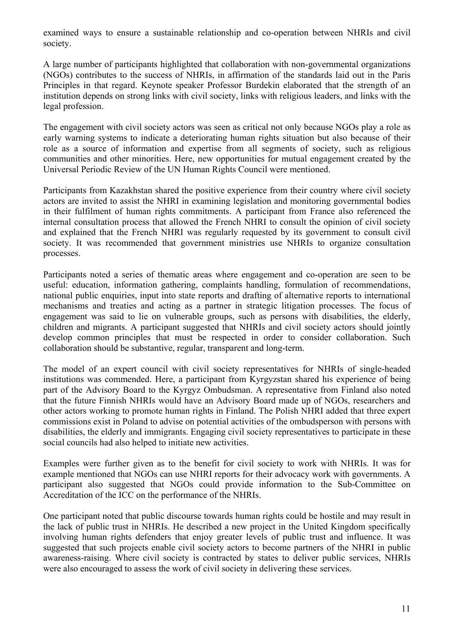examined ways to ensure a sustainable relationship and co-operation between NHRIs and civil society.

A large number of participants highlighted that collaboration with non-governmental organizations (NGOs) contributes to the success of NHRIs, in affirmation of the standards laid out in the Paris Principles in that regard. Keynote speaker Professor Burdekin elaborated that the strength of an institution depends on strong links with civil society, links with religious leaders, and links with the legal profession.

The engagement with civil society actors was seen as critical not only because NGOs play a role as early warning systems to indicate a deteriorating human rights situation but also because of their role as a source of information and expertise from all segments of society, such as religious communities and other minorities. Here, new opportunities for mutual engagement created by the Universal Periodic Review of the UN Human Rights Council were mentioned.

Participants from Kazakhstan shared the positive experience from their country where civil society actors are invited to assist the NHRI in examining legislation and monitoring governmental bodies in their fulfilment of human rights commitments. A participant from France also referenced the internal consultation process that allowed the French NHRI to consult the opinion of civil society and explained that the French NHRI was regularly requested by its government to consult civil society. It was recommended that government ministries use NHRIs to organize consultation processes.

Participants noted a series of thematic areas where engagement and co-operation are seen to be useful: education, information gathering, complaints handling, formulation of recommendations, national public enquiries, input into state reports and drafting of alternative reports to international mechanisms and treaties and acting as a partner in strategic litigation processes. The focus of engagement was said to lie on vulnerable groups, such as persons with disabilities, the elderly, children and migrants. A participant suggested that NHRIs and civil society actors should jointly develop common principles that must be respected in order to consider collaboration. Such collaboration should be substantive, regular, transparent and long-term.

The model of an expert council with civil society representatives for NHRIs of single-headed institutions was commended. Here, a participant from Kyrgyzstan shared his experience of being part of the Advisory Board to the Kyrgyz Ombudsman. A representative from Finland also noted that the future Finnish NHRIs would have an Advisory Board made up of NGOs, researchers and other actors working to promote human rights in Finland. The Polish NHRI added that three expert commissions exist in Poland to advise on potential activities of the ombudsperson with persons with disabilities, the elderly and immigrants. Engaging civil society representatives to participate in these social councils had also helped to initiate new activities.

Examples were further given as to the benefit for civil society to work with NHRIs. It was for example mentioned that NGOs can use NHRI reports for their advocacy work with governments. A participant also suggested that NGOs could provide information to the Sub-Committee on Accreditation of the ICC on the performance of the NHRIs.

One participant noted that public discourse towards human rights could be hostile and may result in the lack of public trust in NHRIs. He described a new project in the United Kingdom specifically involving human rights defenders that enjoy greater levels of public trust and influence. It was suggested that such projects enable civil society actors to become partners of the NHRI in public awareness-raising. Where civil society is contracted by states to deliver public services, NHRIs were also encouraged to assess the work of civil society in delivering these services.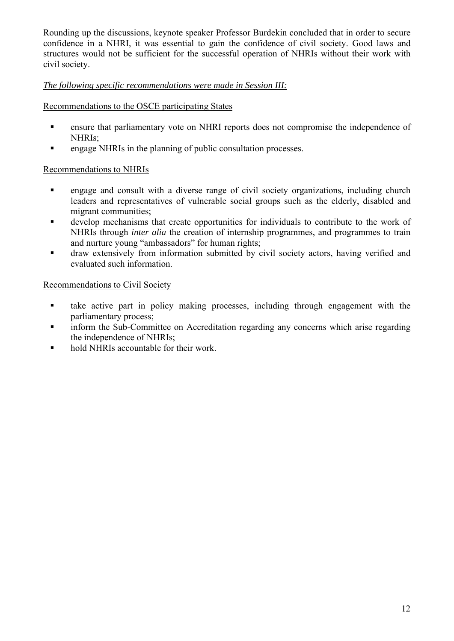Rounding up the discussions, keynote speaker Professor Burdekin concluded that in order to secure confidence in a NHRI, it was essential to gain the confidence of civil society. Good laws and structures would not be sufficient for the successful operation of NHRIs without their work with civil society.

# *The following specific recommendations were made in Session III:*

Recommendations to the OSCE participating States

- ensure that parliamentary vote on NHRI reports does not compromise the independence of NHRIs;
- **Example 3** engage NHRIs in the planning of public consultation processes.

# Recommendations to NHRIs

- engage and consult with a diverse range of civil society organizations, including church leaders and representatives of vulnerable social groups such as the elderly, disabled and migrant communities;
- develop mechanisms that create opportunities for individuals to contribute to the work of NHRIs through *inter alia* the creation of internship programmes, and programmes to train and nurture young "ambassadors" for human rights;
- draw extensively from information submitted by civil society actors, having verified and evaluated such information.

## Recommendations to Civil Society

- take active part in policy making processes, including through engagement with the parliamentary process;
- inform the Sub-Committee on Accreditation regarding any concerns which arise regarding the independence of NHRIs;
- hold NHRIs accountable for their work.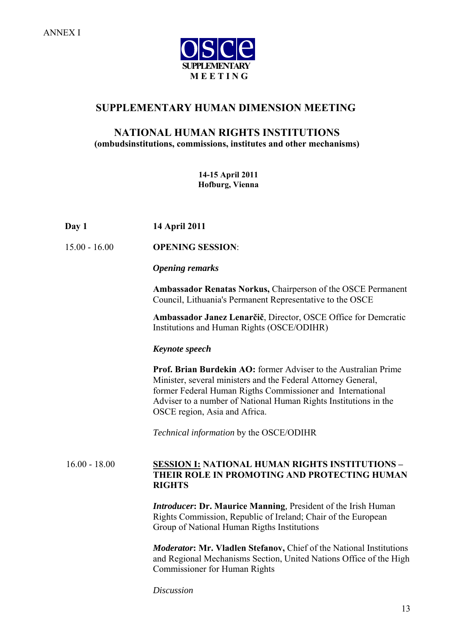

# **SUPPLEMENTARY HUMAN DIMENSION MEETING**

## **NATIONAL HUMAN RIGHTS INSTITUTIONS (ombudsinstitutions, commissions, institutes and other mechanisms)**

**14-15 April 2011 Hofburg, Vienna** 

| 14 April 2011 |
|---------------|
|               |

15.00 - 16.00 **OPENING SESSION**:

#### *Opening remarks*

**Ambassador Renatas Norkus,** Chairperson of the OSCE Permanent Council, Lithuania's Permanent Representative to the OSCE

**Ambassador Janez Lenarčič**, Director, OSCE Office for Demcratic Institutions and Human Rights (OSCE/ODIHR)

#### *Keynote speech*

 **Prof. Brian Burdekin AO:** former Adviser to the Australian Prime Minister, several ministers and the Federal Attorney General, former Federal Human Rigths Commissioner and International Adviser to a number of National Human Rights Institutions in the OSCE region, Asia and Africa.

*Technical information* by the OSCE/ODIHR

### 16.00 - 18.00 **SESSION I: NATIONAL HUMAN RIGHTS INSTITUTIONS – THEIR ROLE IN PROMOTING AND PROTECTING HUMAN RIGHTS**

*Introducer***: Dr. Maurice Manning***,* President of the Irish Human Rights Commission, Republic of Ireland; Chair of the European Group of National Human Rigths Institutions

*Moderator***: Mr. Vladlen Stefanov,** Chief of the National Institutions and Regional Mechanisms Section, United Nations Office of the High Commissioner for Human Rights

*Discussion*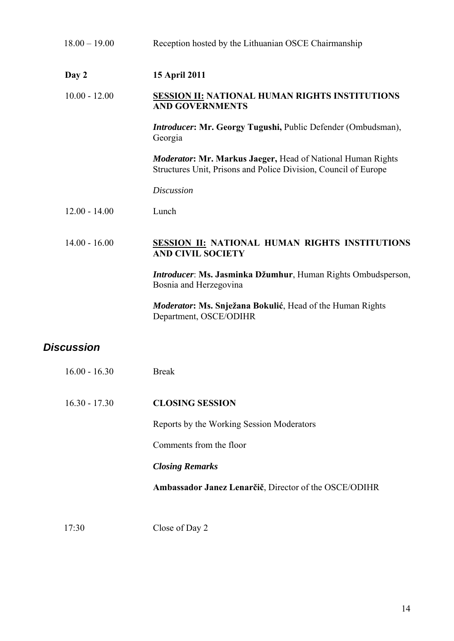| $18.00 - 19.00$   | Reception hosted by the Lithuanian OSCE Chairmanship                                                                                  |
|-------------------|---------------------------------------------------------------------------------------------------------------------------------------|
| Day 2             | 15 April 2011                                                                                                                         |
| $10.00 - 12.00$   | <b>SESSION II: NATIONAL HUMAN RIGHTS INSTITUTIONS</b><br><b>AND GOVERNMENTS</b>                                                       |
|                   | Introducer: Mr. Georgy Tugushi, Public Defender (Ombudsman),<br>Georgia                                                               |
|                   | <b>Moderator: Mr. Markus Jaeger, Head of National Human Rights</b><br>Structures Unit, Prisons and Police Division, Council of Europe |
|                   | <b>Discussion</b>                                                                                                                     |
| $12.00 - 14.00$   | Lunch                                                                                                                                 |
| $14.00 - 16.00$   | <b>SESSION II: NATIONAL HUMAN RIGHTS INSTITUTIONS</b><br><b>AND CIVIL SOCIETY</b>                                                     |
|                   | Introducer: Ms. Jasminka Džumhur, Human Rights Ombudsperson,<br>Bosnia and Herzegovina                                                |
|                   | <b>Moderator: Ms. Snježana Bokulić</b> , Head of the Human Rights<br>Department, OSCE/ODIHR                                           |
| <b>Discussion</b> |                                                                                                                                       |
| $16.00 - 16.30$   | <b>Break</b>                                                                                                                          |
| $16.30 - 17.30$   | <b>CLOSING SESSION</b>                                                                                                                |
|                   | Reports by the Working Session Moderators                                                                                             |
|                   | Comments from the floor                                                                                                               |
|                   | <b>Closing Remarks</b>                                                                                                                |
|                   | Ambassador Janez Lenarčič, Director of the OSCE/ODIHR                                                                                 |
| 17:30             | Close of Day 2                                                                                                                        |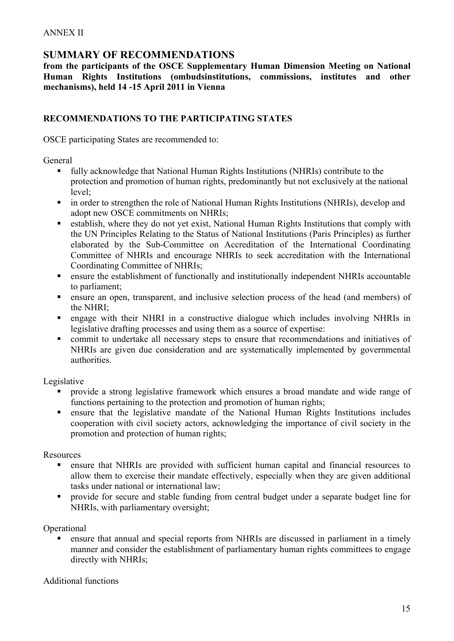# **SUMMARY OF RECOMMENDATIONS**

**from the participants of the OSCE Supplementary Human Dimension Meeting on National Human Rights Institutions (ombudsinstitutions, commissions, institutes and other mechanisms), held 14 -15 April 2011 in Vienna**

### **RECOMMENDATIONS TO THE PARTICIPATING STATES**

OSCE participating States are recommended to:

General

- fully acknowledge that National Human Rights Institutions (NHRIs) contribute to the protection and promotion of human rights, predominantly but not exclusively at the national level;
- in order to strengthen the role of National Human Rights Institutions (NHRIs), develop and adopt new OSCE commitments on NHRIs;
- establish, where they do not yet exist, National Human Rights Institutions that comply with the UN Principles Relating to the Status of National Institutions (Paris Principles) as further elaborated by the Sub-Committee on Accreditation of the International Coordinating Committee of NHRIs and encourage NHRIs to seek accreditation with the International Coordinating Committee of NHRIs;
- ensure the establishment of functionally and institutionally independent NHRIs accountable to parliament;
- ensure an open, transparent, and inclusive selection process of the head (and members) of the NHRI;
- engage with their NHRI in a constructive dialogue which includes involving NHRIs in legislative drafting processes and using them as a source of expertise:
- commit to undertake all necessary steps to ensure that recommendations and initiatives of NHRIs are given due consideration and are systematically implemented by governmental authorities.

Legislative

- **Perovide a strong legislative framework which ensures a broad mandate and wide range of** functions pertaining to the protection and promotion of human rights;
- ensure that the legislative mandate of the National Human Rights Institutions includes cooperation with civil society actors, acknowledging the importance of civil society in the promotion and protection of human rights;

Resources

- ensure that NHRIs are provided with sufficient human capital and financial resources to allow them to exercise their mandate effectively, especially when they are given additional tasks under national or international law;
- provide for secure and stable funding from central budget under a separate budget line for NHRIs, with parliamentary oversight;

Operational

 ensure that annual and special reports from NHRIs are discussed in parliament in a timely manner and consider the establishment of parliamentary human rights committees to engage directly with NHRIs;

Additional functions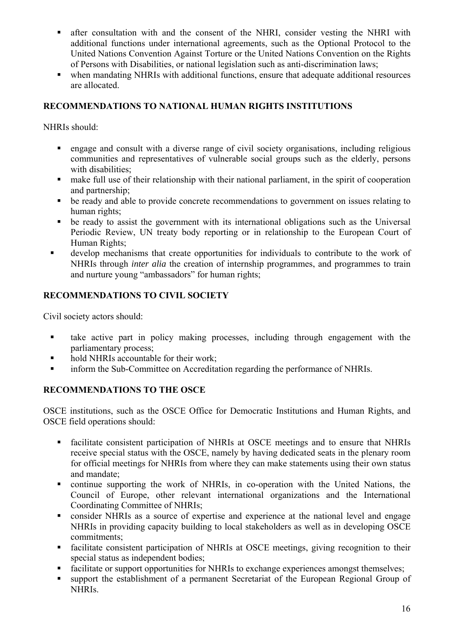- after consultation with and the consent of the NHRI, consider vesting the NHRI with additional functions under international agreements, such as the Optional Protocol to the United Nations Convention Against Torture or the United Nations Convention on the Rights of Persons with Disabilities, or national legislation such as anti-discrimination laws;
- when mandating NHRIs with additional functions, ensure that adequate additional resources are allocated.

## **RECOMMENDATIONS TO NATIONAL HUMAN RIGHTS INSTITUTIONS**

NHRIs should:

- engage and consult with a diverse range of civil society organisations, including religious communities and representatives of vulnerable social groups such as the elderly, persons with disabilities:
- make full use of their relationship with their national parliament, in the spirit of cooperation and partnership;
- be ready and able to provide concrete recommendations to government on issues relating to human rights;
- be ready to assist the government with its international obligations such as the Universal Periodic Review, UN treaty body reporting or in relationship to the European Court of Human Rights;
- develop mechanisms that create opportunities for individuals to contribute to the work of NHRIs through *inter alia* the creation of internship programmes, and programmes to train and nurture young "ambassadors" for human rights;

# **RECOMMENDATIONS TO CIVIL SOCIETY**

Civil society actors should:

- take active part in policy making processes, including through engagement with the parliamentary process;
- hold NHRIs accountable for their work;
- **inform the Sub-Committee on Accreditation regarding the performance of NHRIs.**

## **RECOMMENDATIONS TO THE OSCE**

OSCE institutions, such as the OSCE Office for Democratic Institutions and Human Rights, and OSCE field operations should:

- facilitate consistent participation of NHRIs at OSCE meetings and to ensure that NHRIs receive special status with the OSCE, namely by having dedicated seats in the plenary room for official meetings for NHRIs from where they can make statements using their own status and mandate;
- continue supporting the work of NHRIs, in co-operation with the United Nations, the Council of Europe, other relevant international organizations and the International Coordinating Committee of NHRIs;
- consider NHRIs as a source of expertise and experience at the national level and engage NHRIs in providing capacity building to local stakeholders as well as in developing OSCE commitments;
- facilitate consistent participation of NHRIs at OSCE meetings, giving recognition to their special status as independent bodies;
- facilitate or support opportunities for NHRIs to exchange experiences amongst themselves;
- support the establishment of a permanent Secretariat of the European Regional Group of NHRIs.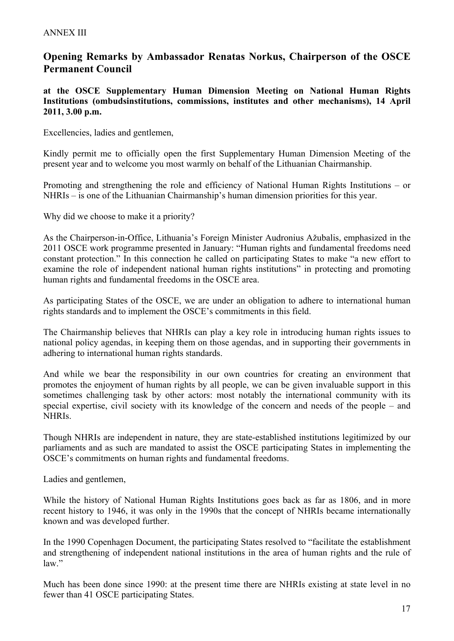# **Opening Remarks by Ambassador Renatas Norkus, Chairperson of the OSCE Permanent Council**

**at the OSCE Supplementary Human Dimension Meeting on National Human Rights Institutions (ombudsinstitutions, commissions, institutes and other mechanisms), 14 April 2011, 3.00 p.m.** 

Excellencies, ladies and gentlemen,

Kindly permit me to officially open the first Supplementary Human Dimension Meeting of the present year and to welcome you most warmly on behalf of the Lithuanian Chairmanship.

Promoting and strengthening the role and efficiency of National Human Rights Institutions – or NHRIs – is one of the Lithuanian Chairmanship's human dimension priorities for this year.

Why did we choose to make it a priority?

As the Chairperson-in-Office, Lithuania's Foreign Minister Audronius Ažubalis, emphasized in the 2011 OSCE work programme presented in January: "Human rights and fundamental freedoms need constant protection." In this connection he called on participating States to make "a new effort to examine the role of independent national human rights institutions" in protecting and promoting human rights and fundamental freedoms in the OSCE area.

As participating States of the OSCE, we are under an obligation to adhere to international human rights standards and to implement the OSCE's commitments in this field.

The Chairmanship believes that NHRIs can play a key role in introducing human rights issues to national policy agendas, in keeping them on those agendas, and in supporting their governments in adhering to international human rights standards.

And while we bear the responsibility in our own countries for creating an environment that promotes the enjoyment of human rights by all people, we can be given invaluable support in this sometimes challenging task by other actors: most notably the international community with its special expertise, civil society with its knowledge of the concern and needs of the people – and NHRIs.

Though NHRIs are independent in nature, they are state-established institutions legitimized by our parliaments and as such are mandated to assist the OSCE participating States in implementing the OSCE's commitments on human rights and fundamental freedoms.

Ladies and gentlemen,

While the history of National Human Rights Institutions goes back as far as 1806, and in more recent history to 1946, it was only in the 1990s that the concept of NHRIs became internationally known and was developed further.

In the 1990 Copenhagen Document, the participating States resolved to "facilitate the establishment and strengthening of independent national institutions in the area of human rights and the rule of law."

Much has been done since 1990: at the present time there are NHRIs existing at state level in no fewer than 41 OSCE participating States.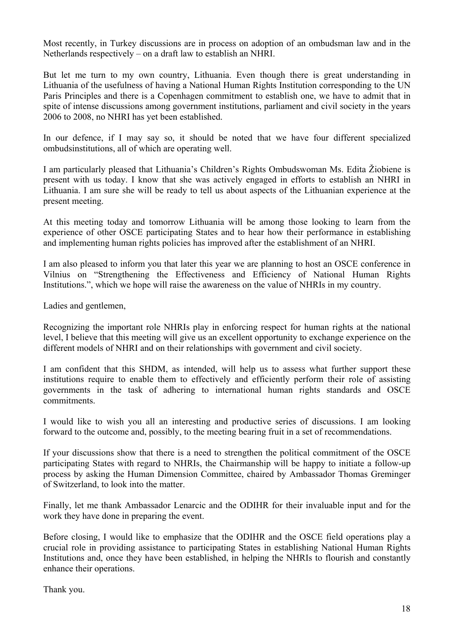Most recently, in Turkey discussions are in process on adoption of an ombudsman law and in the Netherlands respectively – on a draft law to establish an NHRI.

But let me turn to my own country, Lithuania. Even though there is great understanding in Lithuania of the usefulness of having a National Human Rights Institution corresponding to the UN Paris Principles and there is a Copenhagen commitment to establish one, we have to admit that in spite of intense discussions among government institutions, parliament and civil society in the years 2006 to 2008, no NHRI has yet been established.

In our defence, if I may say so, it should be noted that we have four different specialized ombudsinstitutions, all of which are operating well.

I am particularly pleased that Lithuania's Children's Rights Ombudswoman Ms. Edita Žiobiene is present with us today. I know that she was actively engaged in efforts to establish an NHRI in Lithuania. I am sure she will be ready to tell us about aspects of the Lithuanian experience at the present meeting.

At this meeting today and tomorrow Lithuania will be among those looking to learn from the experience of other OSCE participating States and to hear how their performance in establishing and implementing human rights policies has improved after the establishment of an NHRI.

I am also pleased to inform you that later this year we are planning to host an OSCE conference in Vilnius on "Strengthening the Effectiveness and Efficiency of National Human Rights Institutions.", which we hope will raise the awareness on the value of NHRIs in my country.

Ladies and gentlemen,

Recognizing the important role NHRIs play in enforcing respect for human rights at the national level, I believe that this meeting will give us an excellent opportunity to exchange experience on the different models of NHRI and on their relationships with government and civil society.

I am confident that this SHDM, as intended, will help us to assess what further support these institutions require to enable them to effectively and efficiently perform their role of assisting governments in the task of adhering to international human rights standards and OSCE commitments.

I would like to wish you all an interesting and productive series of discussions. I am looking forward to the outcome and, possibly, to the meeting bearing fruit in a set of recommendations.

If your discussions show that there is a need to strengthen the political commitment of the OSCE participating States with regard to NHRIs, the Chairmanship will be happy to initiate a follow-up process by asking the Human Dimension Committee, chaired by Ambassador Thomas Greminger of Switzerland, to look into the matter.

Finally, let me thank Ambassador Lenarcic and the ODIHR for their invaluable input and for the work they have done in preparing the event.

Before closing, I would like to emphasize that the ODIHR and the OSCE field operations play a crucial role in providing assistance to participating States in establishing National Human Rights Institutions and, once they have been established, in helping the NHRIs to flourish and constantly enhance their operations.

Thank you.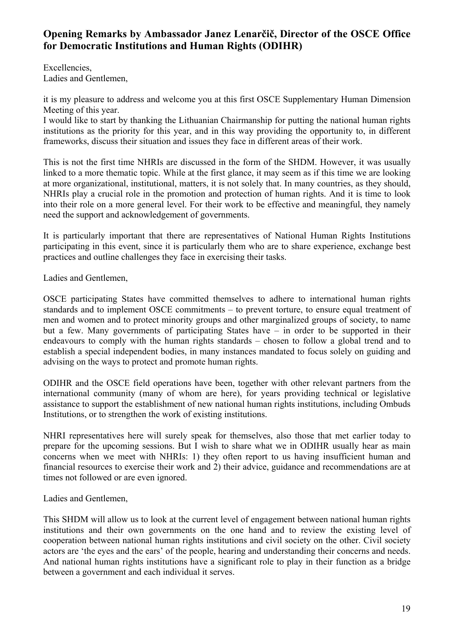# **Opening Remarks by Ambassador Janez Lenarčič, Director of the OSCE Office for Democratic Institutions and Human Rights (ODIHR)**

Excellencies, Ladies and Gentlemen,

it is my pleasure to address and welcome you at this first OSCE Supplementary Human Dimension Meeting of this year.

I would like to start by thanking the Lithuanian Chairmanship for putting the national human rights institutions as the priority for this year, and in this way providing the opportunity to, in different frameworks, discuss their situation and issues they face in different areas of their work.

This is not the first time NHRIs are discussed in the form of the SHDM. However, it was usually linked to a more thematic topic. While at the first glance, it may seem as if this time we are looking at more organizational, institutional, matters, it is not solely that. In many countries, as they should, NHRIs play a crucial role in the promotion and protection of human rights. And it is time to look into their role on a more general level. For their work to be effective and meaningful, they namely need the support and acknowledgement of governments.

It is particularly important that there are representatives of National Human Rights Institutions participating in this event, since it is particularly them who are to share experience, exchange best practices and outline challenges they face in exercising their tasks.

Ladies and Gentlemen,

OSCE participating States have committed themselves to adhere to international human rights standards and to implement OSCE commitments – to prevent torture, to ensure equal treatment of men and women and to protect minority groups and other marginalized groups of society, to name but a few. Many governments of participating States have – in order to be supported in their endeavours to comply with the human rights standards – chosen to follow a global trend and to establish a special independent bodies, in many instances mandated to focus solely on guiding and advising on the ways to protect and promote human rights.

ODIHR and the OSCE field operations have been, together with other relevant partners from the international community (many of whom are here), for years providing technical or legislative assistance to support the establishment of new national human rights institutions, including Ombuds Institutions, or to strengthen the work of existing institutions.

NHRI representatives here will surely speak for themselves, also those that met earlier today to prepare for the upcoming sessions. But I wish to share what we in ODIHR usually hear as main concerns when we meet with NHRIs: 1) they often report to us having insufficient human and financial resources to exercise their work and 2) their advice, guidance and recommendations are at times not followed or are even ignored.

Ladies and Gentlemen,

This SHDM will allow us to look at the current level of engagement between national human rights institutions and their own governments on the one hand and to review the existing level of cooperation between national human rights institutions and civil society on the other. Civil society actors are 'the eyes and the ears' of the people, hearing and understanding their concerns and needs. And national human rights institutions have a significant role to play in their function as a bridge between a government and each individual it serves.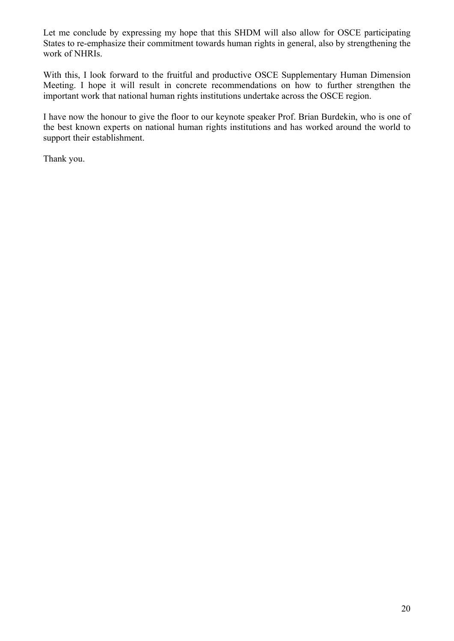Let me conclude by expressing my hope that this SHDM will also allow for OSCE participating States to re-emphasize their commitment towards human rights in general, also by strengthening the work of NHRIs.

With this, I look forward to the fruitful and productive OSCE Supplementary Human Dimension Meeting. I hope it will result in concrete recommendations on how to further strengthen the important work that national human rights institutions undertake across the OSCE region.

I have now the honour to give the floor to our keynote speaker Prof. Brian Burdekin, who is one of the best known experts on national human rights institutions and has worked around the world to support their establishment.

Thank you.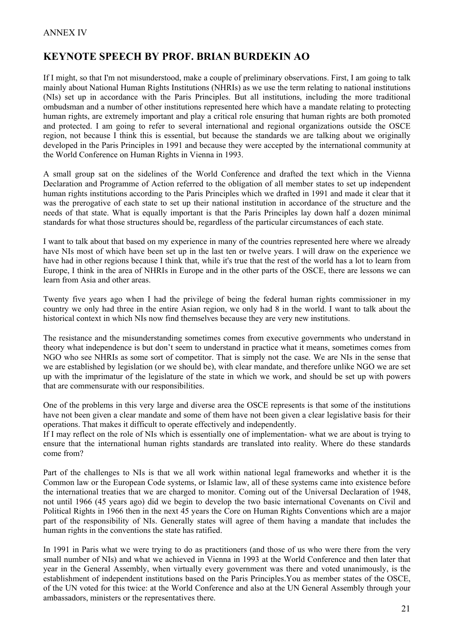# **KEYNOTE SPEECH BY PROF. BRIAN BURDEKIN AO**

If I might, so that I'm not misunderstood, make a couple of preliminary observations. First, I am going to talk mainly about National Human Rights Institutions (NHRIs) as we use the term relating to national institutions (NIs) set up in accordance with the Paris Principles. But all institutions, including the more traditional ombudsman and a number of other institutions represented here which have a mandate relating to protecting human rights, are extremely important and play a critical role ensuring that human rights are both promoted and protected. I am going to refer to several international and regional organizations outside the OSCE region, not because I think this is essential, but because the standards we are talking about we originally developed in the Paris Principles in 1991 and because they were accepted by the international community at the World Conference on Human Rights in Vienna in 1993.

A small group sat on the sidelines of the World Conference and drafted the text which in the Vienna Declaration and Programme of Action referred to the obligation of all member states to set up independent human rights institutions according to the Paris Principles which we drafted in 1991 and made it clear that it was the prerogative of each state to set up their national institution in accordance of the structure and the needs of that state. What is equally important is that the Paris Principles lay down half a dozen minimal standards for what those structures should be, regardless of the particular circumstances of each state.

I want to talk about that based on my experience in many of the countries represented here where we already have NIs most of which have been set up in the last ten or twelve years. I will draw on the experience we have had in other regions because I think that, while it's true that the rest of the world has a lot to learn from Europe, I think in the area of NHRIs in Europe and in the other parts of the OSCE, there are lessons we can learn from Asia and other areas.

Twenty five years ago when I had the privilege of being the federal human rights commissioner in my country we only had three in the entire Asian region, we only had 8 in the world. I want to talk about the historical context in which NIs now find themselves because they are very new institutions.

The resistance and the misunderstanding sometimes comes from executive governments who understand in theory what independence is but don't seem to understand in practice what it means, sometimes comes from NGO who see NHRIs as some sort of competitor. That is simply not the case. We are NIs in the sense that we are established by legislation (or we should be), with clear mandate, and therefore unlike NGO we are set up with the imprimatur of the legislature of the state in which we work, and should be set up with powers that are commensurate with our responsibilities.

One of the problems in this very large and diverse area the OSCE represents is that some of the institutions have not been given a clear mandate and some of them have not been given a clear legislative basis for their operations. That makes it difficult to operate effectively and independently.

If I may reflect on the role of NIs which is essentially one of implementation- what we are about is trying to ensure that the international human rights standards are translated into reality. Where do these standards come from?

Part of the challenges to NIs is that we all work within national legal frameworks and whether it is the Common law or the European Code systems, or Islamic law, all of these systems came into existence before the international treaties that we are charged to monitor. Coming out of the Universal Declaration of 1948, not until 1966 (45 years ago) did we begin to develop the two basic international Covenants on Civil and Political Rights in 1966 then in the next 45 years the Core on Human Rights Conventions which are a major part of the responsibility of NIs. Generally states will agree of them having a mandate that includes the human rights in the conventions the state has ratified.

In 1991 in Paris what we were trying to do as practitioners (and those of us who were there from the very small number of NIs) and what we achieved in Vienna in 1993 at the World Conference and then later that year in the General Assembly, when virtually every government was there and voted unanimously, is the establishment of independent institutions based on the Paris Principles.You as member states of the OSCE, of the UN voted for this twice: at the World Conference and also at the UN General Assembly through your ambassadors, ministers or the representatives there.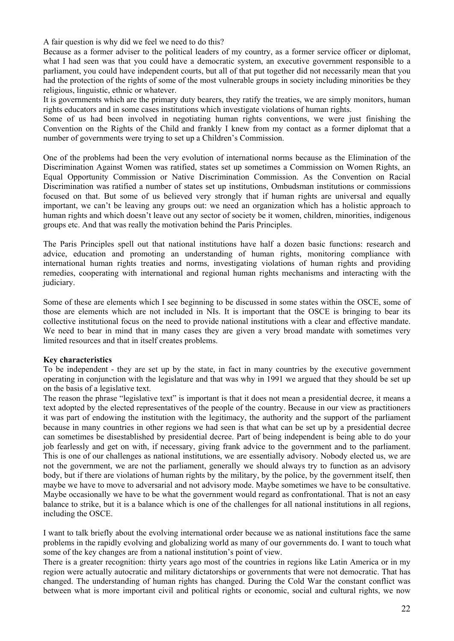A fair question is why did we feel we need to do this?

Because as a former adviser to the political leaders of my country, as a former service officer or diplomat, what I had seen was that you could have a democratic system, an executive government responsible to a parliament, you could have independent courts, but all of that put together did not necessarily mean that you had the protection of the rights of some of the most vulnerable groups in society including minorities be they religious, linguistic, ethnic or whatever.

It is governments which are the primary duty bearers, they ratify the treaties, we are simply monitors, human rights educators and in some cases institutions which investigate violations of human rights.

Some of us had been involved in negotiating human rights conventions, we were just finishing the Convention on the Rights of the Child and frankly I knew from my contact as a former diplomat that a number of governments were trying to set up a Children's Commission.

One of the problems had been the very evolution of international norms because as the Elimination of the Discrimination Against Women was ratified, states set up sometimes a Commission on Women Rights, an Equal Opportunity Commission or Native Discrimination Commission. As the Convention on Racial Discrimination was ratified a number of states set up institutions, Ombudsman institutions or commissions focused on that. But some of us believed very strongly that if human rights are universal and equally important, we can't be leaving any groups out: we need an organization which has a holistic approach to human rights and which doesn't leave out any sector of society be it women, children, minorities, indigenous groups etc. And that was really the motivation behind the Paris Principles.

The Paris Principles spell out that national institutions have half a dozen basic functions: research and advice, education and promoting an understanding of human rights, monitoring compliance with international human rights treaties and norms, investigating violations of human rights and providing remedies, cooperating with international and regional human rights mechanisms and interacting with the judiciary.

Some of these are elements which I see beginning to be discussed in some states within the OSCE, some of those are elements which are not included in NIs. It is important that the OSCE is bringing to bear its collective institutional focus on the need to provide national institutions with a clear and effective mandate. We need to bear in mind that in many cases they are given a very broad mandate with sometimes very limited resources and that in itself creates problems.

#### **Key characteristics**

To be independent - they are set up by the state, in fact in many countries by the executive government operating in conjunction with the legislature and that was why in 1991 we argued that they should be set up on the basis of a legislative text.

The reason the phrase "legislative text" is important is that it does not mean a presidential decree, it means a text adopted by the elected representatives of the people of the country. Because in our view as practitioners it was part of endowing the institution with the legitimacy, the authority and the support of the parliament because in many countries in other regions we had seen is that what can be set up by a presidential decree can sometimes be disestablished by presidential decree. Part of being independent is being able to do your job fearlessly and get on with, if necessary, giving frank advice to the government and to the parliament. This is one of our challenges as national institutions, we are essentially advisory. Nobody elected us, we are not the government, we are not the parliament, generally we should always try to function as an advisory body, but if there are violations of human rights by the military, by the police, by the government itself, then maybe we have to move to adversarial and not advisory mode. Maybe sometimes we have to be consultative. Maybe occasionally we have to be what the government would regard as confrontational. That is not an easy balance to strike, but it is a balance which is one of the challenges for all national institutions in all regions, including the OSCE.

I want to talk briefly about the evolving international order because we as national institutions face the same problems in the rapidly evolving and globalizing world as many of our governments do. I want to touch what some of the key changes are from a national institution's point of view.

There is a greater recognition: thirty years ago most of the countries in regions like Latin America or in my region were actually autocratic and military dictatorships or governments that were not democratic. That has changed. The understanding of human rights has changed. During the Cold War the constant conflict was between what is more important civil and political rights or economic, social and cultural rights, we now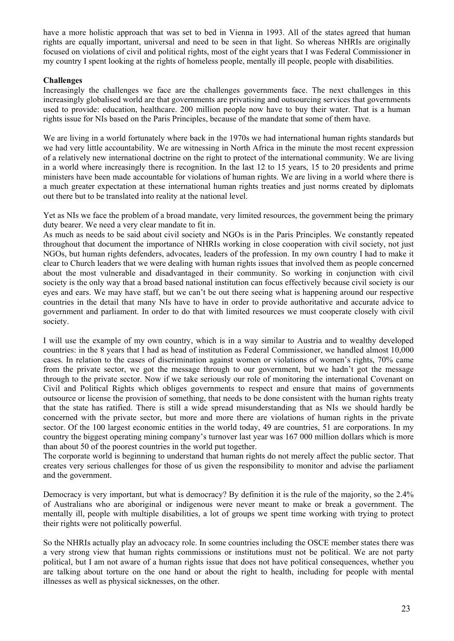have a more holistic approach that was set to bed in Vienna in 1993. All of the states agreed that human rights are equally important, universal and need to be seen in that light. So whereas NHRIs are originally focused on violations of civil and political rights, most of the eight years that I was Federal Commissioner in my country I spent looking at the rights of homeless people, mentally ill people, people with disabilities.

#### **Challenges**

Increasingly the challenges we face are the challenges governments face. The next challenges in this increasingly globalised world are that governments are privatising and outsourcing services that governments used to provide: education, healthcare. 200 million people now have to buy their water. That is a human rights issue for NIs based on the Paris Principles, because of the mandate that some of them have.

We are living in a world fortunately where back in the 1970s we had international human rights standards but we had very little accountability. We are witnessing in North Africa in the minute the most recent expression of a relatively new international doctrine on the right to protect of the international community. We are living in a world where increasingly there is recognition. In the last 12 to 15 years, 15 to 20 presidents and prime ministers have been made accountable for violations of human rights. We are living in a world where there is a much greater expectation at these international human rights treaties and just norms created by diplomats out there but to be translated into reality at the national level.

Yet as NIs we face the problem of a broad mandate, very limited resources, the government being the primary duty bearer. We need a very clear mandate to fit in.

As much as needs to be said about civil society and NGOs is in the Paris Principles. We constantly repeated throughout that document the importance of NHRIs working in close cooperation with civil society, not just NGOs, but human rights defenders, advocates, leaders of the profession. In my own country I had to make it clear to Church leaders that we were dealing with human rights issues that involved them as people concerned about the most vulnerable and disadvantaged in their community. So working in conjunction with civil society is the only way that a broad based national institution can focus effectively because civil society is our eyes and ears. We may have staff, but we can't be out there seeing what is happening around our respective countries in the detail that many NIs have to have in order to provide authoritative and accurate advice to government and parliament. In order to do that with limited resources we must cooperate closely with civil society.

I will use the example of my own country, which is in a way similar to Austria and to wealthy developed countries: in the 8 years that I had as head of institution as Federal Commissioner, we handled almost 10,000 cases. In relation to the cases of discrimination against women or violations of women's rights, 70% came from the private sector, we got the message through to our government, but we hadn't got the message through to the private sector. Now if we take seriously our role of monitoring the international Covenant on Civil and Political Rights which obliges governments to respect and ensure that mains of governments outsource or license the provision of something, that needs to be done consistent with the human rights treaty that the state has ratified. There is still a wide spread misunderstanding that as NIs we should hardly be concerned with the private sector, but more and more there are violations of human rights in the private sector. Of the 100 largest economic entities in the world today, 49 are countries, 51 are corporations. In my country the biggest operating mining company's turnover last year was 167 000 million dollars which is more than about 50 of the poorest countries in the world put together.

The corporate world is beginning to understand that human rights do not merely affect the public sector. That creates very serious challenges for those of us given the responsibility to monitor and advise the parliament and the government.

Democracy is very important, but what is democracy? By definition it is the rule of the majority, so the 2.4% of Australians who are aboriginal or indigenous were never meant to make or break a government. The mentally ill, people with multiple disabilities, a lot of groups we spent time working with trying to protect their rights were not politically powerful.

So the NHRIs actually play an advocacy role. In some countries including the OSCE member states there was a very strong view that human rights commissions or institutions must not be political. We are not party political, but I am not aware of a human rights issue that does not have political consequences, whether you are talking about torture on the one hand or about the right to health, including for people with mental illnesses as well as physical sicknesses, on the other.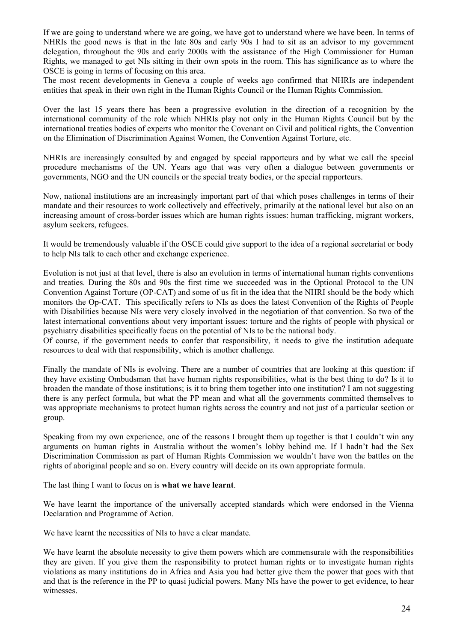If we are going to understand where we are going, we have got to understand where we have been. In terms of NHRIs the good news is that in the late 80s and early 90s I had to sit as an advisor to my government delegation, throughout the 90s and early 2000s with the assistance of the High Commissioner for Human Rights, we managed to get NIs sitting in their own spots in the room. This has significance as to where the OSCE is going in terms of focusing on this area.

The most recent developments in Geneva a couple of weeks ago confirmed that NHRIs are independent entities that speak in their own right in the Human Rights Council or the Human Rights Commission.

Over the last 15 years there has been a progressive evolution in the direction of a recognition by the international community of the role which NHRIs play not only in the Human Rights Council but by the international treaties bodies of experts who monitor the Covenant on Civil and political rights, the Convention on the Elimination of Discrimination Against Women, the Convention Against Torture, etc.

NHRIs are increasingly consulted by and engaged by special rapporteurs and by what we call the special procedure mechanisms of the UN. Years ago that was very often a dialogue between governments or governments, NGO and the UN councils or the special treaty bodies, or the special rapporteurs.

Now, national institutions are an increasingly important part of that which poses challenges in terms of their mandate and their resources to work collectively and effectively, primarily at the national level but also on an increasing amount of cross-border issues which are human rights issues: human trafficking, migrant workers, asylum seekers, refugees.

It would be tremendously valuable if the OSCE could give support to the idea of a regional secretariat or body to help NIs talk to each other and exchange experience.

Evolution is not just at that level, there is also an evolution in terms of international human rights conventions and treaties. During the 80s and 90s the first time we succeeded was in the Optional Protocol to the UN Convention Against Torture (OP-CAT) and some of us fit in the idea that the NHRI should be the body which monitors the Op-CAT. This specifically refers to NIs as does the latest Convention of the Rights of People with Disabilities because NIs were very closely involved in the negotiation of that convention. So two of the latest international conventions about very important issues: torture and the rights of people with physical or psychiatry disabilities specifically focus on the potential of NIs to be the national body.

Of course, if the government needs to confer that responsibility, it needs to give the institution adequate resources to deal with that responsibility, which is another challenge.

Finally the mandate of NIs is evolving. There are a number of countries that are looking at this question: if they have existing Ombudsman that have human rights responsibilities, what is the best thing to do? Is it to broaden the mandate of those institutions; is it to bring them together into one institution? I am not suggesting there is any perfect formula, but what the PP mean and what all the governments committed themselves to was appropriate mechanisms to protect human rights across the country and not just of a particular section or group.

Speaking from my own experience, one of the reasons I brought them up together is that I couldn't win any arguments on human rights in Australia without the women's lobby behind me. If I hadn't had the Sex Discrimination Commission as part of Human Rights Commission we wouldn't have won the battles on the rights of aboriginal people and so on. Every country will decide on its own appropriate formula.

The last thing I want to focus on is **what we have learnt**.

We have learnt the importance of the universally accepted standards which were endorsed in the Vienna Declaration and Programme of Action.

We have learnt the necessities of NIs to have a clear mandate.

We have learnt the absolute necessity to give them powers which are commensurate with the responsibilities they are given. If you give them the responsibility to protect human rights or to investigate human rights violations as many institutions do in Africa and Asia you had better give them the power that goes with that and that is the reference in the PP to quasi judicial powers. Many NIs have the power to get evidence, to hear witnesses.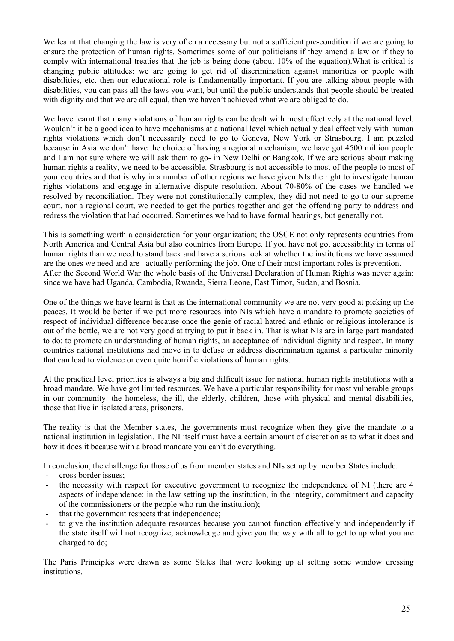We learnt that changing the law is very often a necessary but not a sufficient pre-condition if we are going to ensure the protection of human rights. Sometimes some of our politicians if they amend a law or if they to comply with international treaties that the job is being done (about 10% of the equation).What is critical is changing public attitudes: we are going to get rid of discrimination against minorities or people with disabilities, etc. then our educational role is fundamentally important. If you are talking about people with disabilities, you can pass all the laws you want, but until the public understands that people should be treated with dignity and that we are all equal, then we haven't achieved what we are obliged to do.

We have learnt that many violations of human rights can be dealt with most effectively at the national level. Wouldn't it be a good idea to have mechanisms at a national level which actually deal effectively with human rights violations which don't necessarily need to go to Geneva, New York or Strasbourg. I am puzzled because in Asia we don't have the choice of having a regional mechanism, we have got 4500 million people and I am not sure where we will ask them to go- in New Delhi or Bangkok. If we are serious about making human rights a reality, we need to be accessible. Strasbourg is not accessible to most of the people to most of your countries and that is why in a number of other regions we have given NIs the right to investigate human rights violations and engage in alternative dispute resolution. About 70-80% of the cases we handled we resolved by reconciliation. They were not constitutionally complex, they did not need to go to our supreme court, nor a regional court, we needed to get the parties together and get the offending party to address and redress the violation that had occurred. Sometimes we had to have formal hearings, but generally not.

This is something worth a consideration for your organization; the OSCE not only represents countries from North America and Central Asia but also countries from Europe. If you have not got accessibility in terms of human rights than we need to stand back and have a serious look at whether the institutions we have assumed are the ones we need and are actually performing the job. One of their most important roles is prevention. After the Second World War the whole basis of the Universal Declaration of Human Rights was never again: since we have had Uganda, Cambodia, Rwanda, Sierra Leone, East Timor, Sudan, and Bosnia.

One of the things we have learnt is that as the international community we are not very good at picking up the peaces. It would be better if we put more resources into NIs which have a mandate to promote societies of respect of individual difference because once the genie of racial hatred and ethnic or religious intolerance is out of the bottle, we are not very good at trying to put it back in. That is what NIs are in large part mandated to do: to promote an understanding of human rights, an acceptance of individual dignity and respect. In many countries national institutions had move in to defuse or address discrimination against a particular minority that can lead to violence or even quite horrific violations of human rights.

At the practical level priorities is always a big and difficult issue for national human rights institutions with a broad mandate. We have got limited resources. We have a particular responsibility for most vulnerable groups in our community: the homeless, the ill, the elderly, children, those with physical and mental disabilities, those that live in isolated areas, prisoners.

The reality is that the Member states, the governments must recognize when they give the mandate to a national institution in legislation. The NI itself must have a certain amount of discretion as to what it does and how it does it because with a broad mandate you can't do everything.

In conclusion, the challenge for those of us from member states and NIs set up by member States include:

- cross border issues;
- the necessity with respect for executive government to recognize the independence of NI (there are 4 aspects of independence: in the law setting up the institution, in the integrity, commitment and capacity of the commissioners or the people who run the institution);
- that the government respects that independence;
- to give the institution adequate resources because you cannot function effectively and independently if the state itself will not recognize, acknowledge and give you the way with all to get to up what you are charged to do;

The Paris Principles were drawn as some States that were looking up at setting some window dressing institutions.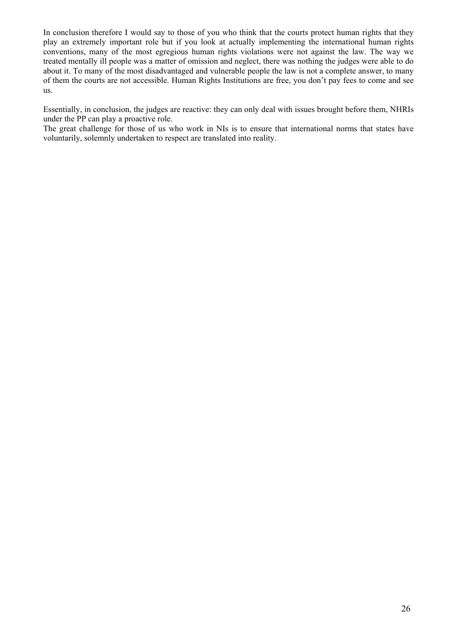In conclusion therefore I would say to those of you who think that the courts protect human rights that they play an extremely important role but if you look at actually implementing the international human rights conventions, many of the most egregious human rights violations were not against the law. The way we treated mentally ill people was a matter of omission and neglect, there was nothing the judges were able to do about it. To many of the most disadvantaged and vulnerable people the law is not a complete answer, to many of them the courts are not accessible. Human Rights Institutions are free, you don't pay fees to come and see us.

Essentially, in conclusion, the judges are reactive: they can only deal with issues brought before them, NHRIs under the PP can play a proactive role.

The great challenge for those of us who work in NIs is to ensure that international norms that states have voluntarily, solemnly undertaken to respect are translated into reality.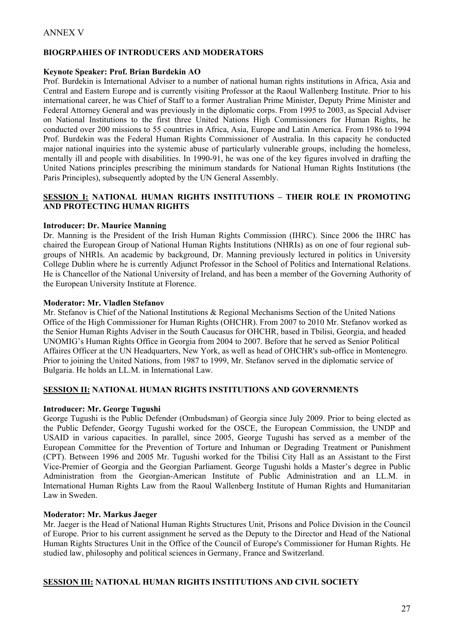### **BIOGRPAHIES OF INTRODUCERS AND MODERATORS**

#### **Keynote Speaker: Prof. Brian Burdekin AO**

Prof. Burdekin is International Adviser to a number of national human rights institutions in Africa, Asia and Central and Eastern Europe and is currently visiting Professor at the Raoul Wallenberg Institute. Prior to his international career, he was Chief of Staff to a former Australian Prime Minister, Deputy Prime Minister and Federal Attorney General and was previously in the diplomatic corps. From 1995 to 2003, as Special Adviser on National Institutions to the first three United Nations High Commissioners for Human Rights, he conducted over 200 missions to 55 countries in Africa, Asia, Europe and Latin America. From 1986 to 1994 Prof. Burdekin was the Federal Human Rights Commissioner of Australia. In this capacity he conducted major national inquiries into the systemic abuse of particularly vulnerable groups, including the homeless, mentally ill and people with disabilities. In 1990-91, he was one of the key figures involved in drafting the United Nations principles prescribing the minimum standards for National Human Rights Institutions (the Paris Principles), subsequently adopted by the UN General Assembly.

### **SESSION I: NATIONAL HUMAN RIGHTS INSTITUTIONS – THEIR ROLE IN PROMOTING AND PROTECTING HUMAN RIGHTS**

### **Introducer: Dr. Maurice Manning**

Dr. Manning is the President of the Irish Human Rights Commission (IHRC). Since 2006 the IHRC has chaired the European Group of National Human Rights Institutions (NHRIs) as on one of four regional subgroups of NHRIs. An academic by background, Dr. Manning previously lectured in politics in University College Dublin where he is currently Adjunct Professor in the School of Politics and International Relations. He is Chancellor of the National University of Ireland, and has been a member of the Governing Authority of the European University Institute at Florence.

#### **Moderator: Mr. Vladlen Stefanov**

Mr. Stefanov is Chief of the National Institutions & Regional Mechanisms Section of the United Nations Office of the High Commissioner for Human Rights (OHCHR). From 2007 to 2010 Mr. Stefanov worked as the Senior Human Rights Adviser in the South Caucasus for OHCHR, based in Tbilisi, Georgia, and headed UNOMIG's Human Rights Office in Georgia from 2004 to 2007. Before that he served as Senior Political Affaires Officer at the UN Headquarters, New York, as well as head of OHCHR's sub-office in Montenegro. Prior to joining the United Nations, from 1987 to 1999, Mr. Stefanov served in the diplomatic service of Bulgaria. He holds an LL.M. in International Law.

### **SESSION II: NATIONAL HUMAN RIGHTS INSTITUTIONS AND GOVERNMENTS**

### **Introducer: Mr. George Tugushi**

George Tugushi is the Public Defender (Ombudsman) of Georgia since July 2009. Prior to being elected as the Public Defender, Georgy Tugushi worked for the OSCE, the European Commission, the UNDP and USAID in various capacities. In parallel, since 2005, George Tugushi has served as a member of the European Committee for the Prevention of Torture and Inhuman or Degrading Treatment or Punishment (CPT). Between 1996 and 2005 Mr. Tugushi worked for the Tbilisi City Hall as an Assistant to the First Vice-Premier of Georgia and the Georgian Parliament. George Tugushi holds a Master's degree in Public Administration from the Georgian-American Institute of Public Administration and an LL.M. in International Human Rights Law from the Raoul Wallenberg Institute of Human Rights and Humanitarian Law in Sweden.

#### **Moderator: Mr. Markus Jaeger**

Mr. Jaeger is the Head of National Human Rights Structures Unit, Prisons and Police Division in the Council of Europe. Prior to his current assignment he served as the Deputy to the Director and Head of the National Human Rights Structures Unit in the Office of the Council of Europe's Commissioner for Human Rights. He studied law, philosophy and political sciences in Germany, France and Switzerland.

### **SESSION III: NATIONAL HUMAN RIGHTS INSTITUTIONS AND CIVIL SOCIETY**